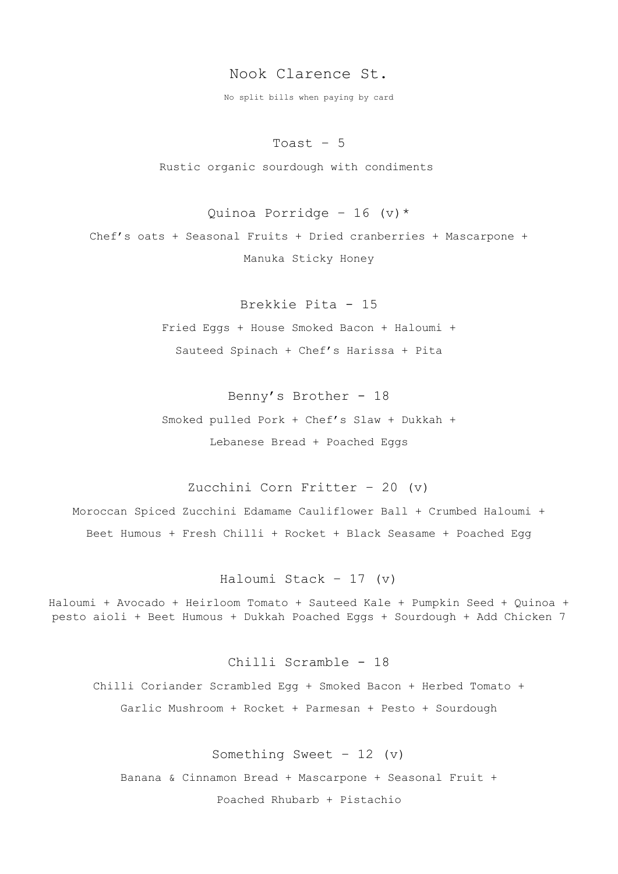No split bills when paying by card

Toast  $-5$ Rustic organic sourdough with condiments

Quinoa Porridge – 16 (v)\* Chef's oats + Seasonal Fruits + Dried cranberries + Mascarpone + Manuka Sticky Honey

> Brekkie Pita - 15 Fried Eggs + House Smoked Bacon + Haloumi + Sauteed Spinach + Chef's Harissa + Pita

> Benny's Brother - 18 Smoked pulled Pork + Chef's Slaw + Dukkah + Lebanese Bread + Poached Eggs

Zucchini Corn Fritter – 20 (v) Moroccan Spiced Zucchini Edamame Cauliflower Ball + Crumbed Haloumi + Beet Humous + Fresh Chilli + Rocket + Black Seasame + Poached Egg

Haloumi Stack -  $17 (v)$ 

Haloumi + Avocado + Heirloom Tomato + Sauteed Kale + Pumpkin Seed + Quinoa + pesto aioli + Beet Humous + Dukkah Poached Eggs + Sourdough + Add Chicken 7

Chilli Scramble - 18 Chilli Coriander Scrambled Egg + Smoked Bacon + Herbed Tomato + Garlic Mushroom + Rocket + Parmesan + Pesto + Sourdough

Something Sweet – 12 (v) Banana & Cinnamon Bread + Mascarpone + Seasonal Fruit + Poached Rhubarb + Pistachio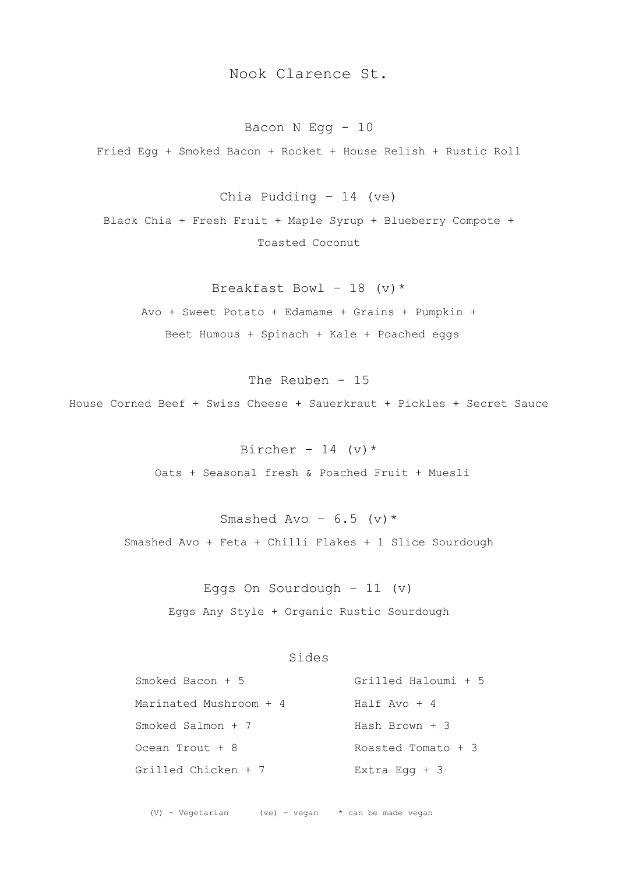Bacon N Egg  $-10$ 

Fried Egg + Smoked Bacon + Rocket + House Relish + Rustic Roll

Chia Pudding – 14 (ve)

Black Chia + Fresh Fruit + Maple Syrup + Blueberry Compote + Toasted Coconut

Breakfast Bowl - 18 (v)  $*$ Avo + Sweet Potato + Edamame + Grains + Pumpkin + Beet Humous + Spinach + Kale + Poached eggs

The Reuben - 15 House Corned Beef + Swiss Cheese + Sauerkraut + Pickles + Secret Sauce

> Bircher - 14 (v)\* Oats + Seasonal fresh & Poached Fruit + Muesli

Smashed Avo -  $6.5$  (v)\* Smashed Avo + Feta + Chilli Flakes + 1 Slice Sourdough

> Eggs On Sourdough – 11 (v) Eggs Any Style + Organic Rustic Sourdough

# Sides

| Smoked Bacon $+$ 5     | Grilled Haloumi + 5 |
|------------------------|---------------------|
| Marinated Mushroom + 4 | Half $Avo + 4$      |
| Smoked Salmon $+7$     | Hash Brown + 3      |
| $Ocean$ Trout $+8$     | Roasted Tomato $+3$ |
| Grilled Chicken + 7    | Extra Eqq $+$ 3     |

(V) – Vegetarian (ve) – vegan  $*$  can be made vegan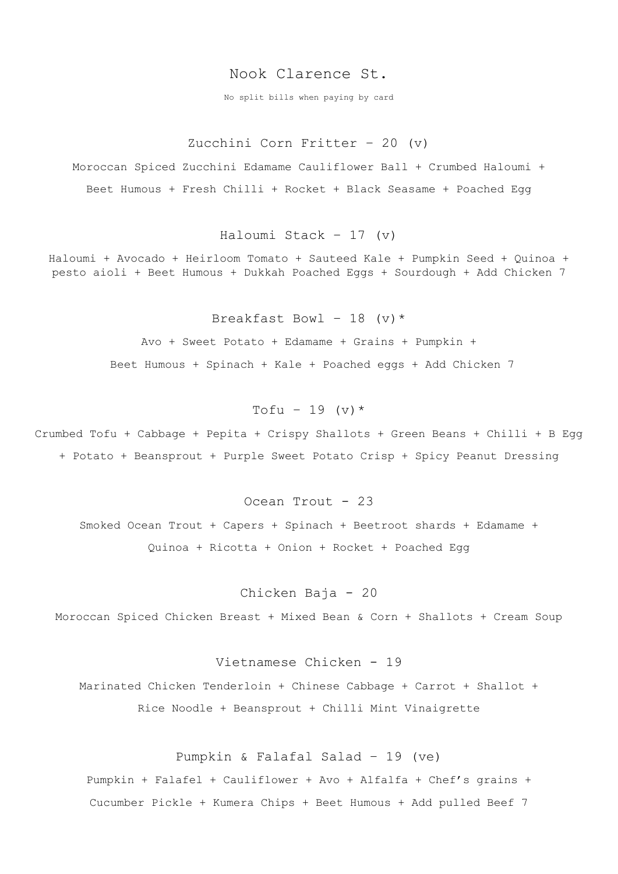No split bills when paying by card

Zucchini Corn Fritter – 20 (v)

Moroccan Spiced Zucchini Edamame Cauliflower Ball + Crumbed Haloumi + Beet Humous + Fresh Chilli + Rocket + Black Seasame + Poached Egg

Haloumi Stack – 17 (v)

Haloumi + Avocado + Heirloom Tomato + Sauteed Kale + Pumpkin Seed + Quinoa + pesto aioli + Beet Humous + Dukkah Poached Eggs + Sourdough + Add Chicken 7

> Breakfast Bowl - 18 (v)\* Avo + Sweet Potato + Edamame + Grains + Pumpkin + Beet Humous + Spinach + Kale + Poached eggs + Add Chicken 7

> > Tofu - 19 (v)  $*$

Crumbed Tofu + Cabbage + Pepita + Crispy Shallots + Green Beans + Chilli + B Egg + Potato + Beansprout + Purple Sweet Potato Crisp + Spicy Peanut Dressing

Ocean Trout - 23 Smoked Ocean Trout + Capers + Spinach + Beetroot shards + Edamame + Quinoa + Ricotta + Onion + Rocket + Poached Egg

Chicken Baja - 20 Moroccan Spiced Chicken Breast + Mixed Bean & Corn + Shallots + Cream Soup

Vietnamese Chicken - 19

Marinated Chicken Tenderloin + Chinese Cabbage + Carrot + Shallot + Rice Noodle + Beansprout + Chilli Mint Vinaigrette

Pumpkin & Falafal Salad – 19 (ve) Pumpkin + Falafel + Cauliflower + Avo + Alfalfa + Chef's grains + Cucumber Pickle + Kumera Chips + Beet Humous + Add pulled Beef 7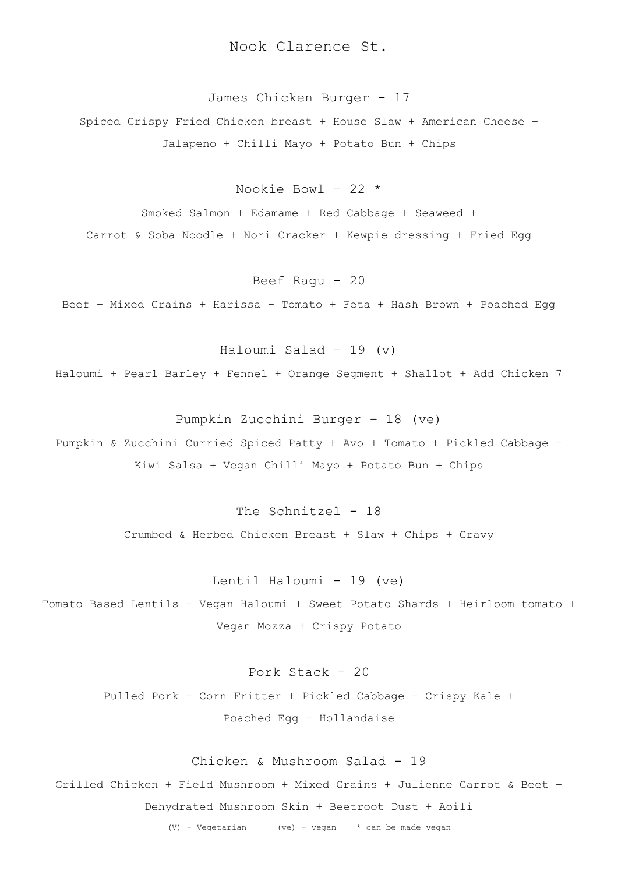James Chicken Burger - 17

Spiced Crispy Fried Chicken breast + House Slaw + American Cheese + Jalapeno + Chilli Mayo + Potato Bun + Chips

Nookie Bowl – 22 \*

Smoked Salmon + Edamame + Red Cabbage + Seaweed + Carrot & Soba Noodle + Nori Cracker + Kewpie dressing + Fried Egg

Beef Ragu - 20

Beef + Mixed Grains + Harissa + Tomato + Feta + Hash Brown + Poached Egg

Haloumi Salad – 19 (v)

Haloumi + Pearl Barley + Fennel + Orange Segment + Shallot + Add Chicken 7

Pumpkin Zucchini Burger – 18 (ve)

Pumpkin & Zucchini Curried Spiced Patty + Avo + Tomato + Pickled Cabbage + Kiwi Salsa + Vegan Chilli Mayo + Potato Bun + Chips

> The Schnitzel - 18 Crumbed & Herbed Chicken Breast + Slaw + Chips + Gravy

> > Lentil Haloumi - 19 (ve)

Tomato Based Lentils + Vegan Haloumi + Sweet Potato Shards + Heirloom tomato + Vegan Mozza + Crispy Potato

Pork Stack – 20

Pulled Pork + Corn Fritter + Pickled Cabbage + Crispy Kale + Poached Egg + Hollandaise

Chicken & Mushroom Salad - 19

Grilled Chicken + Field Mushroom + Mixed Grains + Julienne Carrot & Beet + Dehydrated Mushroom Skin + Beetroot Dust + Aoili

(V) – Vegetarian (ve) – vegan \* can be made vegan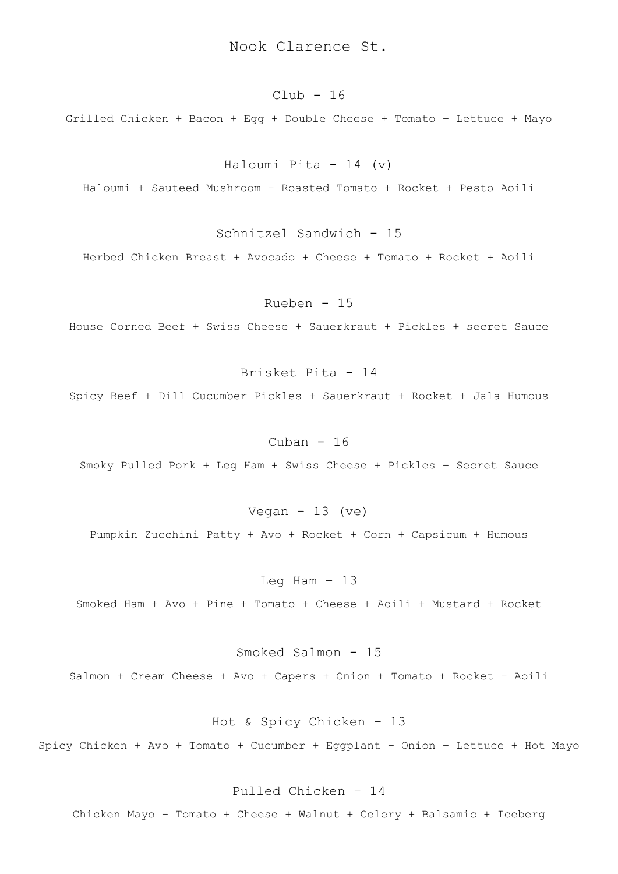#### $Club - 16$

Grilled Chicken + Bacon + Egg + Double Cheese + Tomato + Lettuce + Mayo

Haloumi Pita -  $14$  (v)

Haloumi + Sauteed Mushroom + Roasted Tomato + Rocket + Pesto Aoili

Schnitzel Sandwich - 15

Herbed Chicken Breast + Avocado + Cheese + Tomato + Rocket + Aoili

Rueben - 15

House Corned Beef + Swiss Cheese + Sauerkraut + Pickles + secret Sauce

Brisket Pita - 14 Spicy Beef + Dill Cucumber Pickles + Sauerkraut + Rocket + Jala Humous

#### Cuban  $-16$

Smoky Pulled Pork + Leg Ham + Swiss Cheese + Pickles + Secret Sauce

Vegan  $-13$  (ve) Pumpkin Zucchini Patty + Avo + Rocket + Corn + Capsicum + Humous

Leq Ham  $-13$ Smoked Ham + Avo + Pine + Tomato + Cheese + Aoili + Mustard + Rocket

Smoked Salmon - 15 Salmon + Cream Cheese + Avo + Capers + Onion + Tomato + Rocket + Aoili

Hot & Spicy Chicken – 13 Spicy Chicken + Avo + Tomato + Cucumber + Eggplant + Onion + Lettuce + Hot Mayo

Pulled Chicken – 14 Chicken Mayo + Tomato + Cheese + Walnut + Celery + Balsamic + Iceberg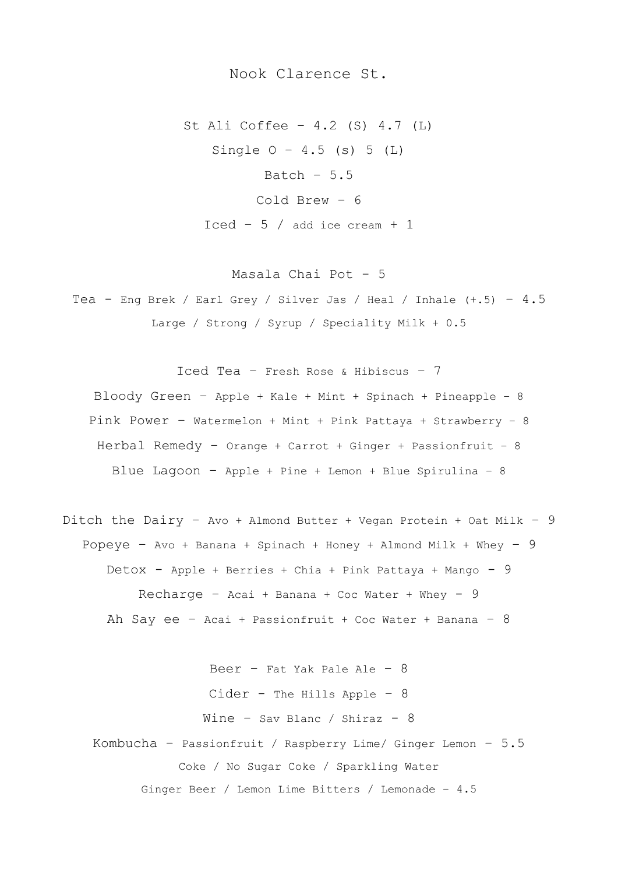St Ali Coffee -  $4.2$  (S)  $4.7$  (L) Single  $0 - 4.5$  (s)  $5$  (L) Batch  $-5.5$ Cold Brew – 6 Iced  $-5$  / add ice cream  $+1$ 

Masala Chai Pot - 5

Tea - Eng Brek / Earl Grey / Silver Jas / Heal / Inhale  $(+.5)$  -  $4.5$ Large / Strong / Syrup / Speciality Milk + 0.5

Iced Tea – Fresh Rose & Hibiscus – 7 Bloody Green – Apple + Kale + Mint + Spinach + Pineapple – 8 Pink Power – Watermelon + Mint + Pink Pattaya + Strawberry – 8 Herbal Remedy – Orange + Carrot + Ginger + Passionfruit – 8 Blue Lagoon – Apple + Pine + Lemon + Blue Spirulina – 8

Ditch the Dairy – Avo + Almond Butter + Vegan Protein + Oat Milk – 9 Popeye - Avo + Banana + Spinach + Honey + Almond Milk + Whey -  $9$ Detox - Apple + Berries + Chia + Pink Pattaya + Mango - 9 Recharge - Acai + Banana + Coc Water + Whey -  $9$ Ah Say ee – Acai + Passionfruit + Coc Water + Banana – 8

Beer – Fat Yak Pale Ale –  $8$ Cider - The Hills Apple – 8 Wine - Sav Blanc / Shiraz -  $8$ Kombucha – Passionfruit / Raspberry Lime/ Ginger Lemon – 5.5 Coke / No Sugar Coke / Sparkling Water

Ginger Beer / Lemon Lime Bitters / Lemonade – 4.5